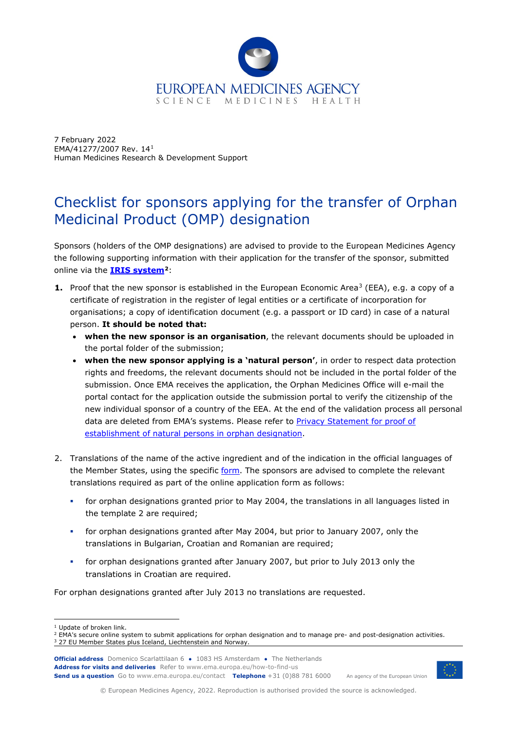

7 February 2022 EMA/41277/2007 Rev. 14[1](#page-0-0) Human Medicines Research & Development Support

## Checklist for sponsors applying for the transfer of Orphan Medicinal Product (OMP) designation

Sponsors (holders of the OMP designations) are advised to provide to the European Medicines Agency the following supporting information with their application for the transfer of the sponsor, submitted online via the **[IRIS system](https://iris.ema.europa.eu/)[2](#page-0-1)**:

- **1.** Proof that the new sponsor is established in the European Economic Area<sup>[3](#page-0-2)</sup> (EEA), e.g. a copy of a certificate of registration in the register of legal entities or a certificate of incorporation for organisations; a copy of identification document (e.g. a passport or ID card) in case of a natural person. **It should be noted that:**
	- **when the new sponsor is an organisation**, the relevant documents should be uploaded in the portal folder of the submission;
	- **when the new sponsor applying is a 'natural person'**, in order to respect data protection rights and freedoms, the relevant documents should not be included in the portal folder of the submission. Once EMA receives the application, the Orphan Medicines Office will e-mail the portal contact for the application outside the submission portal to verify the citizenship of the new individual sponsor of a country of the EEA. At the end of the validation process all personal data are deleted from EMA's systems. Please refer to [Privacy Statement for proof of](https://www.ema.europa.eu/en/documents/other/privacy-statement-validation-proof-establishment-when-natural-persons-apply-orphan-designation_en.pdf)  [establishment of natural persons in orphan designation.](https://www.ema.europa.eu/en/documents/other/privacy-statement-validation-proof-establishment-when-natural-persons-apply-orphan-designation_en.pdf)
- 2. Translations of the name of the active ingredient and of the indication in the official languages of the Member States, using the specific [form.](https://www.ema.europa.eu/en/documents/template-form/template-translations-required-submission-application-transfer-orphan-medicinal-product-designation_en-0.doc) The sponsors are advised to complete the relevant translations required as part of the online application form as follows:
	- for orphan designations granted prior to May 2004, the translations in all languages listed in the template 2 are required;
	- for orphan designations granted after May 2004, but prior to January 2007, only the translations in Bulgarian, Croatian and Romanian are required;
	- for orphan designations granted after January 2007, but prior to July 2013 only the translations in Croatian are required.

For orphan designations granted after July 2013 no translations are requested.

**Official address** Domenico Scarlattilaan 6 **●** 1083 HS Amsterdam **●** The Netherlands **Address for visits and deliveries** Refer to www.ema.europa.eu/how-to-find-us **Send us a question** Go to www.ema.europa.eu/contact **Telephone** +31 (0)88 781 6000



An agency of the European Union

© European Medicines Agency, 2022. Reproduction is authorised provided the source is acknowledged.

<sup>&</sup>lt;sup>1</sup> Update of broken link.

<span id="page-0-2"></span><span id="page-0-1"></span><span id="page-0-0"></span><sup>&</sup>lt;sup>2</sup> EMA's secure online system to submit applications for orphan designation and to manage pre- and post-designation activities. <sup>3</sup> 27 EU Member States plus Iceland, Liechtenstein and Norway.